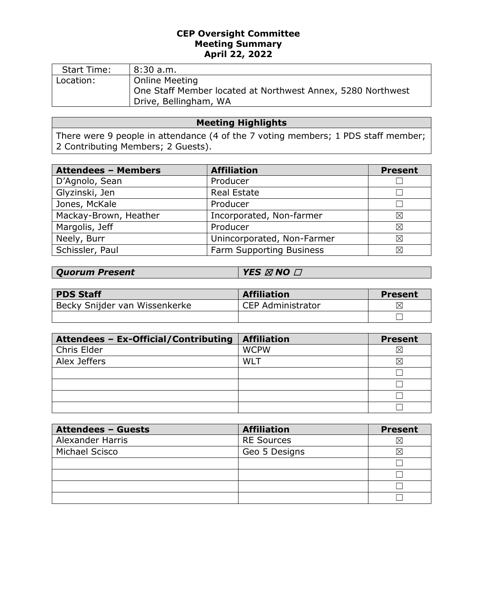## **CEP Oversight Committee Meeting Summary April 22, 2022**

| <b>Start Time:</b> | 8:30a.m.                                                                                               |
|--------------------|--------------------------------------------------------------------------------------------------------|
| Location:          | Online Meeting<br>One Staff Member located at Northwest Annex, 5280 Northwest<br>Drive, Bellingham, WA |

# **Meeting Highlights**

There were 9 people in attendance (4 of the 7 voting members; 1 PDS staff member; 2 Contributing Members; 2 Guests).

| <b>Attendees - Members</b> | <b>Affiliation</b>         | <b>Present</b> |
|----------------------------|----------------------------|----------------|
| D'Agnolo, Sean             | Producer                   |                |
| Glyzinski, Jen             | <b>Real Estate</b>         |                |
| Jones, McKale              | Producer                   |                |
| Mackay-Brown, Heather      | Incorporated, Non-farmer   | ⊠              |
| Margolis, Jeff             | Producer                   | ⊠              |
| Neely, Burr                | Unincorporated, Non-Farmer | ⊠              |
| Schissler, Paul            | Farm Supporting Business   | ⊠              |

| <b>Quorum Present</b> | $\mid$ YES $\varnothing$ NO $\varBox$ |
|-----------------------|---------------------------------------|
|-----------------------|---------------------------------------|

| <b>PDS Staff</b>              | <b>Affiliation</b>       | Present  |
|-------------------------------|--------------------------|----------|
| Becky Snijder van Wissenkerke | <b>CEP Administrator</b> | $\times$ |
|                               |                          |          |

| Attendees - Ex-Official/Contributing | <b>Affiliation</b> | <b>Present</b> |
|--------------------------------------|--------------------|----------------|
| Chris Elder                          | <b>WCPW</b>        | $\boxtimes$    |
| Alex Jeffers                         | WLT                | X              |
|                                      |                    |                |
|                                      |                    |                |
|                                      |                    |                |
|                                      |                    |                |

| <b>Attendees - Guests</b> | <b>Affiliation</b> | <b>Present</b> |
|---------------------------|--------------------|----------------|
| Alexander Harris          | <b>RE Sources</b>  | $\times$       |
| Michael Scisco            | Geo 5 Designs      | ⋉              |
|                           |                    |                |
|                           |                    |                |
|                           |                    |                |
|                           |                    |                |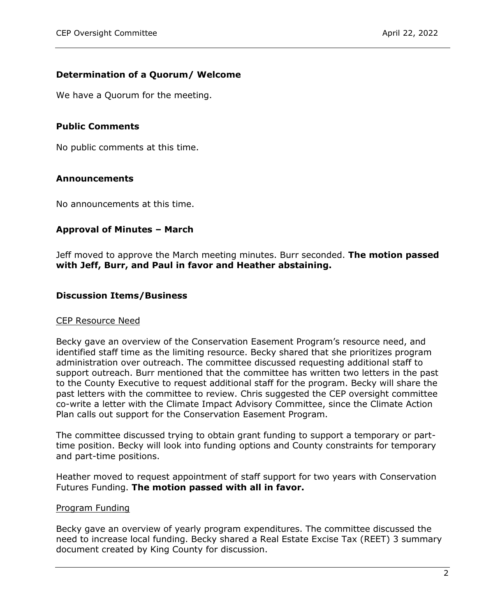## **Determination of a Quorum/ Welcome**

We have a Quorum for the meeting.

## **Public Comments**

No public comments at this time.

## **Announcements**

No announcements at this time.

## **Approval of Minutes – March**

Jeff moved to approve the March meeting minutes. Burr seconded. **The motion passed with Jeff, Burr, and Paul in favor and Heather abstaining.**

#### **Discussion Items/Business**

#### CEP Resource Need

Becky gave an overview of the Conservation Easement Program's resource need, and identified staff time as the limiting resource. Becky shared that she prioritizes program administration over outreach. The committee discussed requesting additional staff to support outreach. Burr mentioned that the committee has written two letters in the past to the County Executive to request additional staff for the program. Becky will share the past letters with the committee to review. Chris suggested the CEP oversight committee co-write a letter with the Climate Impact Advisory Committee, since the Climate Action Plan calls out support for the Conservation Easement Program.

The committee discussed trying to obtain grant funding to support a temporary or parttime position. Becky will look into funding options and County constraints for temporary and part-time positions.

Heather moved to request appointment of staff support for two years with Conservation Futures Funding. **The motion passed with all in favor.**

#### Program Funding

Becky gave an overview of yearly program expenditures. The committee discussed the need to increase local funding. Becky shared a Real Estate Excise Tax (REET) 3 summary document created by King County for discussion.